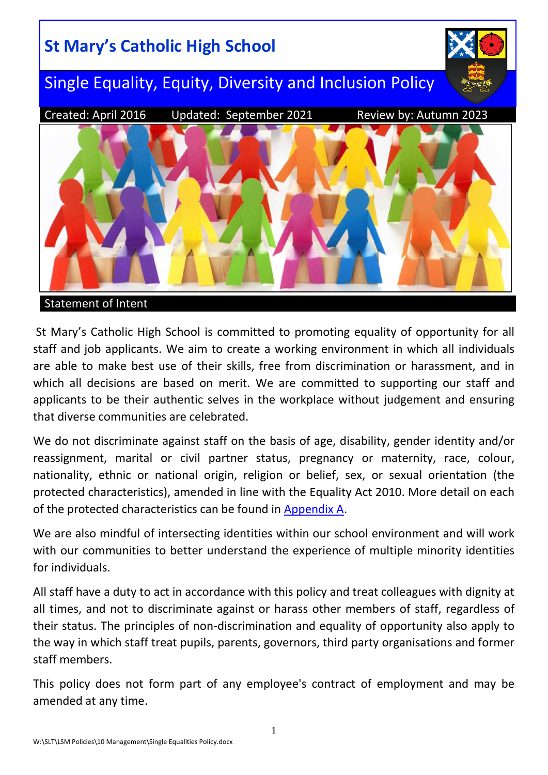

St Mary's Catholic High School is committed to promoting equality of opportunity for all staff and job applicants. We aim to create a working environment in which all individuals are able to make best use of their skills, free from discrimination or harassment, and in which all decisions are based on merit. We are committed to supporting our staff and applicants to be their authentic selves in the workplace without judgement and ensuring that diverse communities are celebrated.

We do not discriminate against staff on the basis of age, disability, gender identity and/or reassignment, marital or civil partner status, pregnancy or maternity, race, colour, nationality, ethnic or national origin, religion or belief, sex, or sexual orientation (the protected characteristics), amended in line with the Equality Act 2010. More detail on each of the protected characteristics can be found in [Appendix A.](#page-6-0)

We are also mindful of intersecting identities within our school environment and will work with our communities to better understand the experience of multiple minority identities for individuals.

All staff have a duty to act in accordance with this policy and treat colleagues with dignity at all times, and not to discriminate against or harass other members of staff, regardless of their status. The principles of non-discrimination and equality of opportunity also apply to the way in which staff treat pupils, parents, governors, third party organisations and former staff members.

This policy does not form part of any employee's contract of employment and may be amended at any time.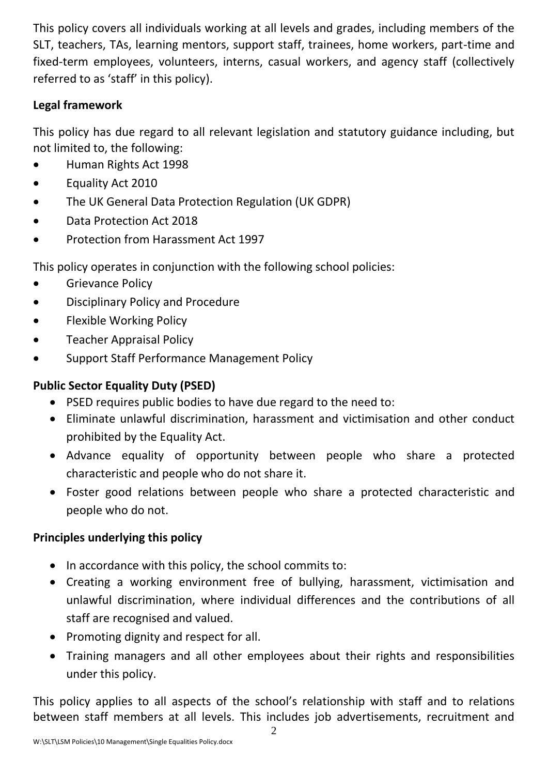This policy covers all individuals working at all levels and grades, including members of the SLT, teachers, TAs, learning mentors, support staff, trainees, home workers, part-time and fixed-term employees, volunteers, interns, casual workers, and agency staff (collectively referred to as 'staff' in this policy).

## **Legal framework**

This policy has due regard to all relevant legislation and statutory guidance including, but not limited to, the following:

- Human Rights Act 1998
- Equality Act 2010
- The UK General Data Protection Regulation (UK GDPR)
- Data Protection Act 2018
- Protection from Harassment Act 1997

This policy operates in conjunction with the following school policies:

- Grievance Policy
- Disciplinary Policy and Procedure
- Flexible Working Policy
- **•** Teacher Appraisal Policy
- Support Staff Performance Management Policy

## **Public Sector Equality Duty (PSED)**

- PSED requires public bodies to have due regard to the need to:
- Eliminate unlawful discrimination, harassment and victimisation and other conduct prohibited by the Equality Act.
- Advance equality of opportunity between people who share a protected characteristic and people who do not share it.
- Foster good relations between people who share a protected characteristic and people who do not.

## **Principles underlying this policy**

- In accordance with this policy, the school commits to:
- Creating a working environment free of bullying, harassment, victimisation and unlawful discrimination, where individual differences and the contributions of all staff are recognised and valued.
- Promoting dignity and respect for all.
- Training managers and all other employees about their rights and responsibilities under this policy.

This policy applies to all aspects of the school's relationship with staff and to relations between staff members at all levels. This includes job advertisements, recruitment and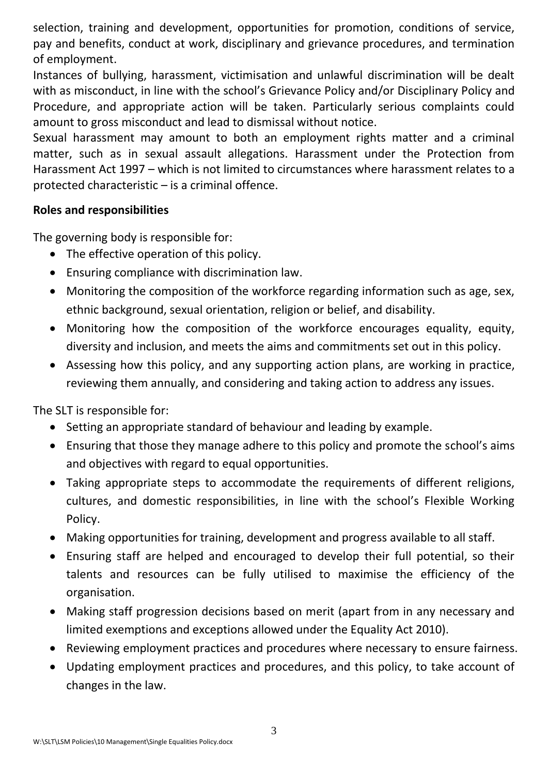selection, training and development, opportunities for promotion, conditions of service, pay and benefits, conduct at work, disciplinary and grievance procedures, and termination of employment.

Instances of bullying, harassment, victimisation and unlawful discrimination will be dealt with as misconduct, in line with the school's Grievance Policy and/or Disciplinary Policy and Procedure, and appropriate action will be taken. Particularly serious complaints could amount to gross misconduct and lead to dismissal without notice.

Sexual harassment may amount to both an employment rights matter and a criminal matter, such as in sexual assault allegations. Harassment under the Protection from Harassment Act 1997 – which is not limited to circumstances where harassment relates to a protected characteristic – is a criminal offence.

## **Roles and responsibilities**

The governing body is responsible for:

- The effective operation of this policy.
- Ensuring compliance with discrimination law.
- Monitoring the composition of the workforce regarding information such as age, sex, ethnic background, sexual orientation, religion or belief, and disability.
- Monitoring how the composition of the workforce encourages equality, equity, diversity and inclusion, and meets the aims and commitments set out in this policy.
- Assessing how this policy, and any supporting action plans, are working in practice, reviewing them annually, and considering and taking action to address any issues.

The SLT is responsible for:

- Setting an appropriate standard of behaviour and leading by example.
- Ensuring that those they manage adhere to this policy and promote the school's aims and objectives with regard to equal opportunities.
- Taking appropriate steps to accommodate the requirements of different religions, cultures, and domestic responsibilities, in line with the school's Flexible Working Policy.
- Making opportunities for training, development and progress available to all staff.
- Ensuring staff are helped and encouraged to develop their full potential, so their talents and resources can be fully utilised to maximise the efficiency of the organisation.
- Making staff progression decisions based on merit (apart from in any necessary and limited exemptions and exceptions allowed under the Equality Act 2010).
- Reviewing employment practices and procedures where necessary to ensure fairness.
- Updating employment practices and procedures, and this policy, to take account of changes in the law.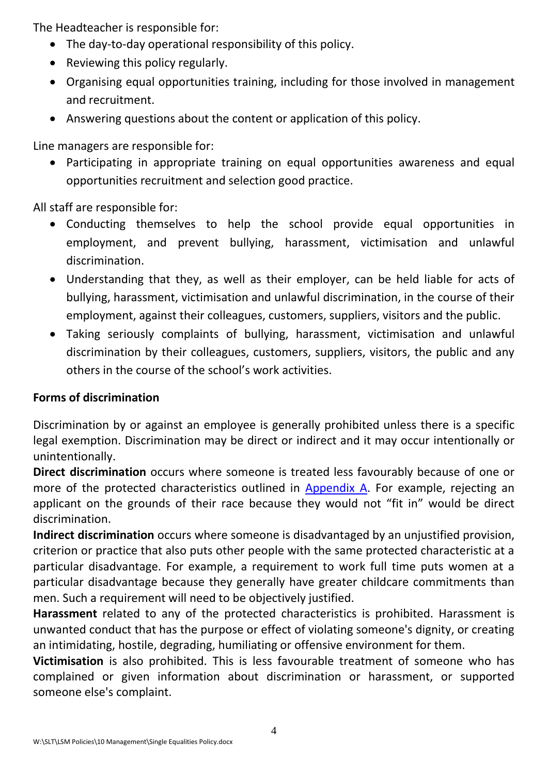The Headteacher is responsible for:

- The day-to-day operational responsibility of this policy.
- Reviewing this policy regularly.
- Organising equal opportunities training, including for those involved in management and recruitment.
- Answering questions about the content or application of this policy.

Line managers are responsible for:

 Participating in appropriate training on equal opportunities awareness and equal opportunities recruitment and selection good practice.

All staff are responsible for:

- Conducting themselves to help the school provide equal opportunities in employment, and prevent bullying, harassment, victimisation and unlawful discrimination.
- Understanding that they, as well as their employer, can be held liable for acts of bullying, harassment, victimisation and unlawful discrimination, in the course of their employment, against their colleagues, customers, suppliers, visitors and the public.
- Taking seriously complaints of bullying, harassment, victimisation and unlawful discrimination by their colleagues, customers, suppliers, visitors, the public and any others in the course of the school's work activities.

# **Forms of discrimination**

Discrimination by or against an employee is generally prohibited unless there is a specific legal exemption. Discrimination may be direct or indirect and it may occur intentionally or unintentionally.

**Direct discrimination** occurs where someone is treated less favourably because of one or more of the protected characteristics outlined in [Appendix A.](#page-6-0) For example, rejecting an applicant on the grounds of their race because they would not "fit in" would be direct discrimination.

**Indirect discrimination** occurs where someone is disadvantaged by an unjustified provision, criterion or practice that also puts other people with the same protected characteristic at a particular disadvantage. For example, a requirement to work full time puts women at a particular disadvantage because they generally have greater childcare commitments than men. Such a requirement will need to be objectively justified.

**Harassment** related to any of the protected characteristics is prohibited. Harassment is unwanted conduct that has the purpose or effect of violating someone's dignity, or creating an intimidating, hostile, degrading, humiliating or offensive environment for them.

**Victimisation** is also prohibited. This is less favourable treatment of someone who has complained or given information about discrimination or harassment, or supported someone else's complaint.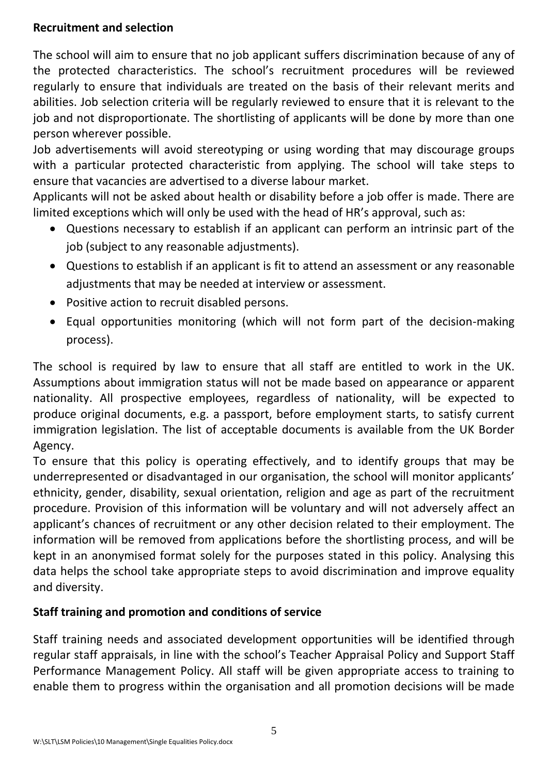## **Recruitment and selection**

The school will aim to ensure that no job applicant suffers discrimination because of any of the protected characteristics. The school's recruitment procedures will be reviewed regularly to ensure that individuals are treated on the basis of their relevant merits and abilities. Job selection criteria will be regularly reviewed to ensure that it is relevant to the job and not disproportionate. The shortlisting of applicants will be done by more than one person wherever possible.

Job advertisements will avoid stereotyping or using wording that may discourage groups with a particular protected characteristic from applying. The school will take steps to ensure that vacancies are advertised to a diverse labour market.

Applicants will not be asked about health or disability before a job offer is made. There are limited exceptions which will only be used with the head of HR's approval, such as:

- Questions necessary to establish if an applicant can perform an intrinsic part of the job (subject to any reasonable adjustments).
- Questions to establish if an applicant is fit to attend an assessment or any reasonable adjustments that may be needed at interview or assessment.
- Positive action to recruit disabled persons.
- Equal opportunities monitoring (which will not form part of the decision-making process).

The school is required by law to ensure that all staff are entitled to work in the UK. Assumptions about immigration status will not be made based on appearance or apparent nationality. All prospective employees, regardless of nationality, will be expected to produce original documents, e.g. a passport, before employment starts, to satisfy current immigration legislation. The list of acceptable documents is available from the UK Border Agency.

To ensure that this policy is operating effectively, and to identify groups that may be underrepresented or disadvantaged in our organisation, the school will monitor applicants' ethnicity, gender, disability, sexual orientation, religion and age as part of the recruitment procedure. Provision of this information will be voluntary and will not adversely affect an applicant's chances of recruitment or any other decision related to their employment. The information will be removed from applications before the shortlisting process, and will be kept in an anonymised format solely for the purposes stated in this policy. Analysing this data helps the school take appropriate steps to avoid discrimination and improve equality and diversity.

# **Staff training and promotion and conditions of service**

Staff training needs and associated development opportunities will be identified through regular staff appraisals, in line with the school's Teacher Appraisal Policy and Support Staff Performance Management Policy. All staff will be given appropriate access to training to enable them to progress within the organisation and all promotion decisions will be made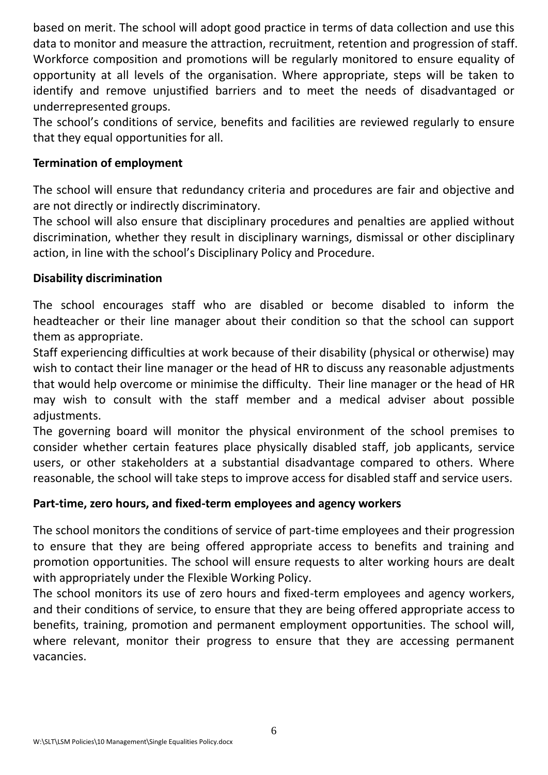based on merit. The school will adopt good practice in terms of data collection and use this data to monitor and measure the attraction, recruitment, retention and progression of staff. Workforce composition and promotions will be regularly monitored to ensure equality of opportunity at all levels of the organisation. Where appropriate, steps will be taken to identify and remove unjustified barriers and to meet the needs of disadvantaged or underrepresented groups.

The school's conditions of service, benefits and facilities are reviewed regularly to ensure that they equal opportunities for all.

## **Termination of employment**

The school will ensure that redundancy criteria and procedures are fair and objective and are not directly or indirectly discriminatory.

The school will also ensure that disciplinary procedures and penalties are applied without discrimination, whether they result in disciplinary warnings, dismissal or other disciplinary action, in line with the school's Disciplinary Policy and Procedure.

## **Disability discrimination**

The school encourages staff who are disabled or become disabled to inform the headteacher or their line manager about their condition so that the school can support them as appropriate.

Staff experiencing difficulties at work because of their disability (physical or otherwise) may wish to contact their line manager or the head of HR to discuss any reasonable adjustments that would help overcome or minimise the difficulty. Their line manager or the head of HR may wish to consult with the staff member and a medical adviser about possible adjustments.

The governing board will monitor the physical environment of the school premises to consider whether certain features place physically disabled staff, job applicants, service users, or other stakeholders at a substantial disadvantage compared to others. Where reasonable, the school will take steps to improve access for disabled staff and service users.

#### **Part-time, zero hours, and fixed-term employees and agency workers**

The school monitors the conditions of service of part-time employees and their progression to ensure that they are being offered appropriate access to benefits and training and promotion opportunities. The school will ensure requests to alter working hours are dealt with appropriately under the Flexible Working Policy.

The school monitors its use of zero hours and fixed-term employees and agency workers, and their conditions of service, to ensure that they are being offered appropriate access to benefits, training, promotion and permanent employment opportunities. The school will, where relevant, monitor their progress to ensure that they are accessing permanent vacancies.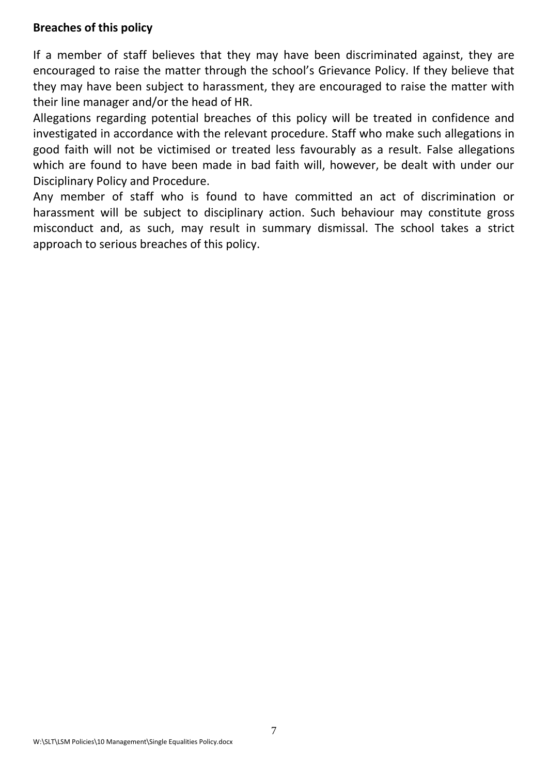#### **Breaches of this policy**

If a member of staff believes that they may have been discriminated against, they are encouraged to raise the matter through the school's Grievance Policy. If they believe that they may have been subject to harassment, they are encouraged to raise the matter with their line manager and/or the head of HR.

Allegations regarding potential breaches of this policy will be treated in confidence and investigated in accordance with the relevant procedure. Staff who make such allegations in good faith will not be victimised or treated less favourably as a result. False allegations which are found to have been made in bad faith will, however, be dealt with under our Disciplinary Policy and Procedure.

<span id="page-6-0"></span>Any member of staff who is found to have committed an act of discrimination or harassment will be subject to disciplinary action. Such behaviour may constitute gross misconduct and, as such, may result in summary dismissal. The school takes a strict approach to serious breaches of this policy.